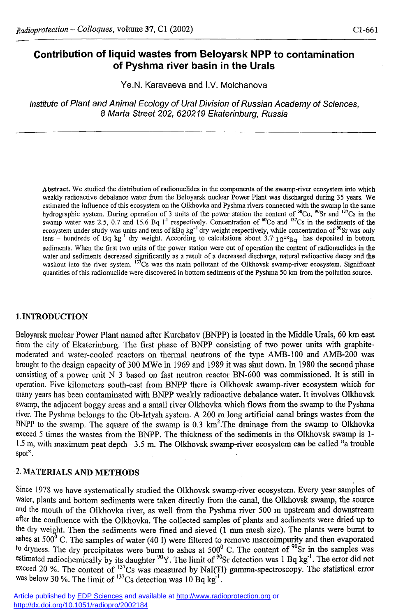# **Contribution of liquid wastes from Beloyarsk NPP to contamination of Pyshma river basin in the Urals**

Ye.N. Karavaeva and I.V. Molchanova

*Institute of Plant and Animal Ecology of Ural Division of Russian Academy of Sciences, 8 Marta Street 202, 620219 Ekaterinburg, Russia* 

**Abstract. We studied the distribution of radionuclides in the components of the swamp-river ecosystem into which weakly radioactive debalance water from the Beloyarsk nuclear Power Plant was discharged during 35 years. We estimated the influence of this ecosystem on the Olkhovka and Pyshma rivers connected with the swamp in the same**  hydrographic system. During operation of 3 units of the power station the content of "Co, "Sr and "'Cs in the swamp water was 2.5, 0.7 and 15.6 Bq I<sup>t</sup> respectively. Concentration of "Co and "'Cs in the sediments of the ecosystem under study was units and tens of kBq kg<sup>-</sup> dry weight respectively, while concentration of "Sr was only  $t$ ens – hundreds of Bq kg<sup>-1</sup> dry weight. According to calculations about  $3.7 \cdot 10^{12}$ Bq has deposited in bottom **sediments. When the first two units of the power station were out of operation the content of radionuclides in the water and sediments decreased significantly as a result of a decreased discharge, natural radioactive decay and the**  washout into the river system. <sup>13</sup>Cs was the main pollutant of the Olkhovsk swamp-river ecosystem. Significant **quantities of this radionuclide were discovered in bottom sediments of the Pyshma 50 km from the pollution source.** 

#### **1. INTRODUCTION**

Beloyarsk nuclear Power Plant named after Kurchatov (BNPP) is located in the Middle Urals, 60 km east from the city of Ekaterinburg. The first phase of BNPP consisting of two power units with graphitemoderated and water-cooled reactors on thermal neutrons of the type AMB-100 and AMB-200 was brought to the design capacity of 300 MWe in 1969 and 1989 it was shut down. In 1980 the second phase consisting of a power unit N 3 based on fast neutron reactor BN-600 was commissioned. It is still in operation. Five kilometers south-east from BNPP there is Olkhovsk swamp-river ecosystem which for many years has been contaminated with BNPP weakly radioactive debalance water. It involves Olkhovsk swamp, the adjacent boggy areas and a small river Olkhovka which flows from the swamp to the Pyshma river. The Pyshma belongs to the Ob-Irtysh system. A 200 m long artificial canal brings wastes from the BNPP to the swamp. The square of the swamp is 0.3  $km^2$ . The drainage from the swamp to Olkhovka exceed **5** times the wastes from the BNPP. The thickness of the sediments in the Olkhovsk swamp is 1-  $1.5$  m, with maximum peat depth  $-3.5$  m. The Olkhovsk swamp-river ecosystem can be called "a trouble" spot".

### **•2. MATERIALS AND METHODS**

Since 1978 we have systematically studied the Olkhovsk swamp-river ecosystem. Every year samples of water, plants and bottom sediments were taken directly from the canal, the Olkhovsk swamp, the source and the mouth of the Olkhovka river, as well from the Pyshma river 500 m upstream and downstream after the confluence with the Olkhovka. The collected samples of plants and sediments were dried up to the dry weight. Then the sediments were fined and sieved (1 mm mesh size). The plants were burnt to ashes at 500 $^{0}$  C. The samples of water (40 I) were filtered to remove macroimpurity and then evaporated <sup>to dryness. The dry precipitates were burnt to ashes at  $500^{\circ}$  C. The content of <sup>90</sup>Sr in the samples was</sup> <sup>estimated radiochemically by its daughter <sup>90</sup>Y. The limit of <sup>90</sup>Sr detection was 1 Bq kg<sup>-1</sup>. The error did not</sup> <sup>exceed</sup> 20 %. The content of <sup>137</sup>Cs was measured by NaI(TI) gamma-spectroscopy. The statistical error was below 30 %. The limit of  $137$ Cs detection was 10 Bq kg<sup>-1</sup>.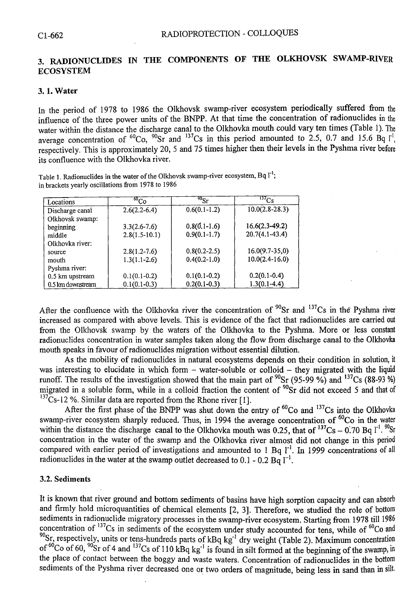# **3. RADIONUCLIDES IN THE COMPONENTS OF THE OLKHOVSK SWAMP-RIVER ECOSYSTEM**

### **3.1. Water**

In the period of 1978 to 1986 the OIkhovsk swamp-river ecosystem periodically suffered from the influence of the three power units of the BNPP. At that time the concentration of radionuclides in the water within the distance the discharge canal to the Olkhovka mouth could vary ten times (Table 1). The average concentration of <sup>60</sup>Co, <sup>50</sup>Sr and <sup>13</sup> Cs in this period amounted to 2.5, 0.7 and 15.6 Bq [<sup>1</sup>] respectively. This is approximately 20, 5 and 75 times higher then their levels in the Pyshma river before its confluence with the Olkhovka river.

**Table 1. Radionuclides in the water of the OIkhovsk swamp-river ecosystem, Bq 1"'; in brackets yearly oscillations from 1978 to 1986** 

| Locations         | $\overline{^{60}\text{Co}}$ | $^{90}\mathrm{Sr}$ | $\overline{^{137}\text{Cs}}$ |
|-------------------|-----------------------------|--------------------|------------------------------|
| Discharge canal   | $2.6(2.2 - 6.4)$            | $0.6(0.1-1.2)$     | $10.0(2.8-28.3)$             |
| Olkhovsk swamp:   |                             |                    |                              |
| beginning         | $3.3(2.6-7.6)$              | $0.8(0.1-1.6)$     | $16.6(2.3-49.2)$             |
| middle            | $2.8(1.5-10.1)$             | $0.9(0.1-1.7)$     | $20.7(4.1 - 43.4)$           |
| Olkhovka river:   |                             |                    |                              |
| source            | $2.8(1.2 - 7.6)$            | $0.8(0.2-2.5)$     | $16.0(9.7 - 35.0)$           |
| mouth             | $1.3(1.1-2.6)$              | $0.4(0.2-1.0)$     | $10.0(2.4 - 16.0)$           |
| Pyshma river:     |                             |                    |                              |
| 0.5 km upstream   | $0.1(0.1-0.2)$              | $0.1(0.1-0.2)$     | $0.2(0.1-0.4)$               |
| 0.5 km downstream | $0.1(0.1-0.3)$              | $0.2(0.1-0.3)$     | $1.3(0.1-4.4)$               |

After the confluence with the Olkhovka river the concentration of <sup>30</sup>Sr and  $\frac{13}{\text{C}}$  in the Pyshma river increased as compared with above levels. This is evidence of the fact that radionuclides are carried out from the OIkhovsk swamp by the waters of the Olkhovka to the Pyshma. More or less constant radionuclides concentration in water samples taken along the flow from discharge canal to the Olkhovka mouth speaks in favour of radionuclides migration without essential dilution.

As the mobility of radionuclides in natural ecosystems depends on their condition in solution, it was interesting to elucidate in which form - water-soluble or colloid - they migrated with the liquid runoff. The results of the investigation showed that the main part of  $^{90}Sr$  (95-99 %) and  $^{13}Cs$  (88-93 %) migrated in a soluble form, while in a colloid fraction the content of <sup>90</sup>Sr did not exceed 5 and that of  $^{137}$ Cs-12 %. Similar data are reported from the Rhone river [1].

After the first phase of the BNPP was shut down the entry of  $\rm{^{60}Co}$  and  $\rm{^{137}Cs}$  into the Olkhovka swamp-river ecosystem sharply reduced. Thus, in 1994 the average concentration of  $\rm{^{60}Co}$  in the water within the distance the discharge canal to the Olkhovka mouth was 0.25, that of  $^{137}Cs - 0.70$  Bq  $1^{1}$ . "St concentration in the water of the swamp and the Olkhovka river almost did not change in this period compared with earlier period of investigations and amounted to 1 Bq  $l<sup>-1</sup>$ . In 1999 concentrations of all radionuclides in the water at the swamp outlet decreased to  $0.1$  -  $0.2$  Bq  $1^{-1}$ .

#### **3.2. Sediments**

It is known that river ground and bottom sediments of basins have high sorption capacity and can absorb and firmly hold microquantities of chemical elements [2, 3]. Therefore, we studied the role of bottom sediments in radionuclide migratory processes in the swamp-river ecosystem. Starting from 1978 till 1986 concentration of  $\binom{137}{5}$  in sediments of the ecosystem under study accounted for tens, while of  $\binom{60}{0}$  and <sup>90</sup>Sr, respectively, units or tens-hundreds parts of kBq kg<sup>-1</sup> dry weight (Table 2). Maximum concentration of <sup>ov</sup>Co of 60, <sup>30</sup>Sr of 4 and <sup>137</sup>Cs of 110 kBq kg<sup>-1</sup> is found in silt formed at the beginning of the swamp, in the place of contact between the boggy and waste waters. Concentration of radionuclides in the bottom sediments of the Pyshma river decreased one or two orders of magnitude, being less in sand than in silt.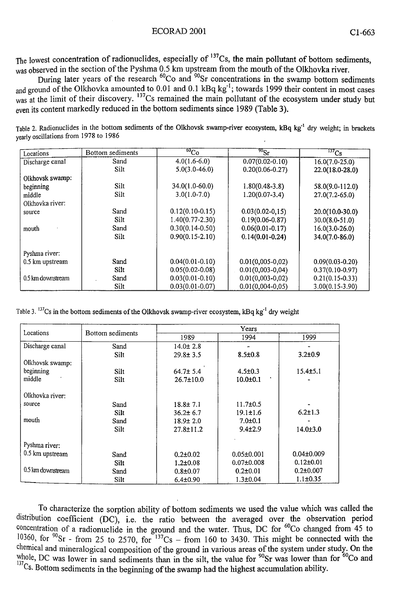#### ECORAD 2001 C1-663

The lowest concentration of radionuclides, especially of  $137Cs$ , the main pollutant of bottom sediments, was observed in the section of the Pyshma 0.5 km upstream from the mouth of the Olkhovka river.

During later years of the research <sup>ov</sup>Co and <sup>30</sup>Sr concentrations in the swamp bottom sediments <sub>and ground of the Olkhovka amounted to 0.01 and 0.1 kBq kg<sup>-1</sup>; towards 1999 their content in most cases</sub> <sub>was at the limit of their discovery.</sub> <sup>37</sup>Cs remained the main pollutant of the ecosystem under study but even its content markedly reduced in the bottom sediments since 1989 (Table **3).** 

**Table 2. Radionuclides in the bottom sediments of the Olkhovsk swamp-river ecosystem, kBq kg"<sup>1</sup> dry weight; in brackets yearly oscillations from 1978 to 1986** 

| Locations         | Bottom sediments | $^{60}Co$           | $^{90}$ Sr           | $\overline{^{137}\text{Cs}}$ |
|-------------------|------------------|---------------------|----------------------|------------------------------|
| Discharge canal   | Sand             | $4.0(1.6-6.0)$      | $0.07(0.02 - 0.10)$  | $16.0(7.0-25.0)$             |
|                   | Silt             | $5.0(3.0-46.0)$     | $0.20(0.06 - 0.27)$  | 22.0(18.0-28.0)              |
| Olkhovsk swamp:   |                  |                     |                      |                              |
| beginning         | Silt             | 34.0(1.0-60.0)      | $1.80(0.48-3.8)$     | 58.0(9.0-112.0)              |
| middle            | Silt             | $3.0(1.0-7.0)$      | $1.20(0.07 - 3.4)$   | $27.0(7.2 - 65.0)$           |
| Olkhovka river:   |                  |                     |                      |                              |
| source            | Sand             | $0.12(0.10-0.15)$   | $0.03(0.02 - 0.15)$  | $20.0(10.0-30.0)$            |
|                   | Silt             | $1.40(0.77 - 2.30)$ | $0.19(0.06 - 0.87)$  | $30.0(8.0 - 51.0)$           |
| mouth             | Sand             | $0.30(0.14-0.50)$   | $0.06(0.01 - 0.17)$  | $16.0(3.0-26.0)$             |
|                   | Silt             | $0.90(0.15 - 2.10)$ | $0.14(0.01 - 0.24)$  | 34.0(7.0-86.0)               |
| Pyshma river:     |                  |                     |                      |                              |
| 0.5 km upstream   | Sand             | $0.04(0.01 - 0.10)$ | $0.01(0.005 - 0.02)$ | $0.09(0.03 - 0.20)$          |
|                   | Silt             | $0.05(0.02 - 0.08)$ | $0.01(0.003 - 0.04)$ | $0.37(0.10-0.97)$            |
| 0.5 km downstream | Sand             | $0.03(0.01 - 0.10)$ | $0.01(0,003-0,02)$   | $0.21(0.15-0.33)$            |
|                   | Silt             | $0.03(0.01 - 0.07)$ | $0.01(0.004 - 0.05)$ | 3.00(0.15-3.90)              |

Table 3. "'Cs in the bottom sediments of the Olkhovsk swamp-river ecosystem, kBq kg" dry weight

| Locations         | Bottom sediments | Years           |                  |                  |
|-------------------|------------------|-----------------|------------------|------------------|
|                   |                  | 1989            | 1994             | 1999             |
| Discharge canal   | Sand             | $14.0 \pm 2.8$  |                  |                  |
|                   | Silt             | $29.8 \pm 3.5$  | $8.5 \pm 0.8$    | $3.2 \pm 0.9$    |
| Olkhovsk swamp:   |                  |                 |                  |                  |
| beginning         | Silt             | $64.7 \pm 5.4$  | $4.5 \pm 0.3$    | $15.4 \pm 5.1$   |
| middle            | Silt             | $26.7 \pm 10.0$ | $10.0 \pm 0.1$   |                  |
| Olkhovka river:   |                  |                 |                  |                  |
| source            | Sand             | $18.8 \pm 7.1$  | $11.7 \pm 0.5$   |                  |
|                   | Silt             | $36.2 \pm 6.7$  | $19.1 \pm 1.6$   | $6.2 \pm 1.3$    |
| mouth             | Sand             | $18.9 \pm 2.0$  | $7.0 \pm 0.1$    |                  |
|                   | Silt             | $27.8 \pm 11.2$ | $9.4 \pm 2.9$    | $14.0{\pm}3.0$   |
| Pyshma river:     |                  |                 |                  |                  |
| 0.5 km upstream   | Sand             | $0.2 \pm 0.02$  | $0.05 \pm 0.001$ | $0.04 \pm 0.009$ |
|                   | Silt             | $1.2 \pm 0.08$  | $0.07 \pm 0.008$ | $0.12 \pm 0.01$  |
| 0.5 km downstream | Sand             | $0.8 \pm 0.07$  | $0.2 \pm 0.01$   | $0.2 \pm 0.007$  |
|                   | Silt             | $6.4 \pm 0.90$  | $1.3 \pm 0.04$   | $1.1 \pm 0.35$   |

To characterize the sorption ability of bottom sediments we used the value which was called the distribution coefficient (DC), i.e. the ratio between the averaged over the observation period concentration of a radionuclide in the ground and the water. Thus, DC for  $\rm{^{60}Co}$  changed from 45 to <sup>10360</sup>, for <sup>90</sup>Sr - from 25 to 2570, for  $137Cs$  – from 160 to 3430. This might be connected with the chemical and mineralogical composition of the ground in various areas of the system under study. On the whole, DC was lower in sand sediments than in the silt, the value for <sup>90</sup>Sr was lower than for <sup>60</sup>Co and  $137Cs$ . Bottom sediments in the beginning of the swamp had the highest accumulation ability.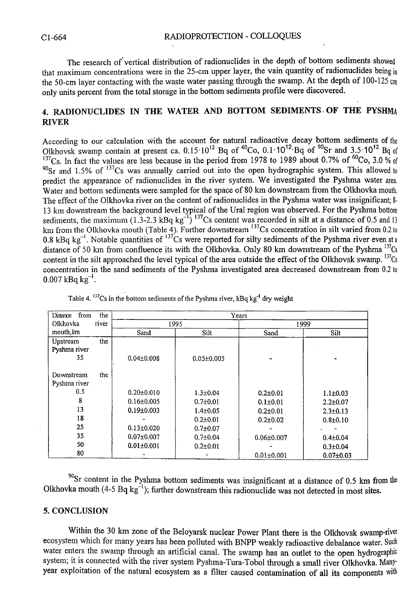The research of vertical distribution of radionuclides in the depth of bottom sediments showed that maximum concentrations were in the 25-cm upper layer, the vain quantity of radionuclides being in the 50-cm layer contacting with the waste water passing through the swamp. At the depth of 100-125 cm only units percent from the total storage in the bottom sediments profile were discovered.

# **4. RADIONUCLIDES IN THE WATER AND BOTTOM SEDIMENTS OF THE PYSHMA RIVER**

According to our calculation with the account for natural radioactive decay bottom sediments of the Olkhovsk swamp contain at present ca.  $0.15 \cdot 10^{12}$  Bq of  $\degree$ Co,  $0.1 \cdot 10^{12}$  Bq of  $\degree$ Sr and  $3.5 \cdot 10^{12}$  Bq of  $\rm ^{137}Cs$ . In fact the values are less because in the period from 1978 to 1989 about 0.7% of  $\rm ^{100}Co$ , 3.0 % of  $^{90}$ Sr and 1.5% of  $^{13}$ Cs was annually carried out into the open hydrographic system. This allowed to predict the appearance of radionuclides in the river system. We investigated the Pyshma water area, Water and bottom sediments were sampled for the space of 80 km downstream from the Olkhovka mouth. The effect of the Olkhovka river on the content of radionuclides in the Pyshma water was insignificant; 8- 13 km downstream the background level typical of the Ural region was observed. For the Pyshma bottom sediments, the maximum (1.3-2.3 kBq kg<sup>-1</sup>)  $13/Cs$  content was recorded in silt at a distance of 0.5 and 13 km from the Olkhovka mouth (Table 4). Further downstream <sup>137</sup>Cs concentration in silt varied from 0.2 to 0.8 kBq kg<sup>-1</sup>. Notable quantities of <sup>137</sup>Cs were reported for silty sediments of the Pyshma river even at a distance of 50 km from confluence its with the Olkhovka. Only 80 km downstream of the Pyshma  $137Cs$ content in the silt approached the level typical of the area outside the effect of the Olkhovsk swamp.  $137Cs$ concentration in the sand sediments of the Pyshma investigated area decreased downstream from 0.2 to  $0.007~\mathrm{kBa}~\mathrm{kg}^{-1}.$ 

| from<br>the<br>Distance | Years            |                  |                  |                 |  |
|-------------------------|------------------|------------------|------------------|-----------------|--|
| Olkhovka<br>river       |                  | 1995             |                  | 1999            |  |
| mouth, km               | Sand             | Silt             | Sand             | Silt            |  |
| the<br>Upstream         |                  |                  |                  |                 |  |
| Pyshma river            |                  |                  |                  |                 |  |
| 35                      | $0.04 \pm 0.008$ | $0.05 \pm 0.005$ |                  |                 |  |
| the<br>Downstream       |                  |                  |                  |                 |  |
| Pyshma river            |                  |                  |                  |                 |  |
| 0.5                     | $0.20 \pm 0.010$ | $1.3 \pm 0.04$   | $0.2{\pm}0.01$   | $1.1 \pm 0.03$  |  |
| 8                       | $0.16 \pm 0.005$ | $0.7{\pm}0.01$   | $0.1 \pm 0.01$   | $2.2 \pm 0.07$  |  |
| 13                      | $0.19 \pm 0.003$ | $1.4 \pm 0.05$   | $0.2{\pm}0.01$   | $2.3 \pm 0.13$  |  |
| 18                      |                  | $0.2 + 0.01$     | $0.2 \pm 0.02$   | $0.8 \pm 0.10$  |  |
| 25                      | $0.13 \pm 0.020$ | $0.7 + 0.07$     |                  |                 |  |
| 35                      | $0.07 \pm 0.007$ | $0.7 + 0.04$     | $0.06 \pm 0.007$ | $0.4 \pm 0.04$  |  |
| 50                      | $0.01 \pm 0.001$ | $0.2{\pm}0.01$   |                  | $0.3 + 0.04$    |  |
| 80                      |                  |                  | $0.01 \pm 0.001$ | $0.07 \pm 0.03$ |  |

Table 4. "'Cs in the bottom sediments of the Pyshma river, kBq kg<sup>-1</sup> dry weight

 $\rm{^{90}Sr}$  content in the Pyshma bottom sediments was insignificant at a distance of 0.5 km from the Olkhovka mouth (4-5 Bq kg $^{-1}$ ); further downstream this radionuclide was not detected in most sites.

## **5. CONCLUSION**

Within the 30 km zone of the Beloyarsk nuclear Power Plant there is the Olkhovsk swamp-river ecosystem which for many years has been polluted with BNPP weakly radioactive debalance water. Such water enters the swamp through an artificial canal. The swamp has an outlet to the open hydrographic system; it is connected with the river system Pyshma-Tura-Tobol through a small river Olkhovka. Manyyear exploitation of the natural ecosystem as a filter caused contamination of all its components with